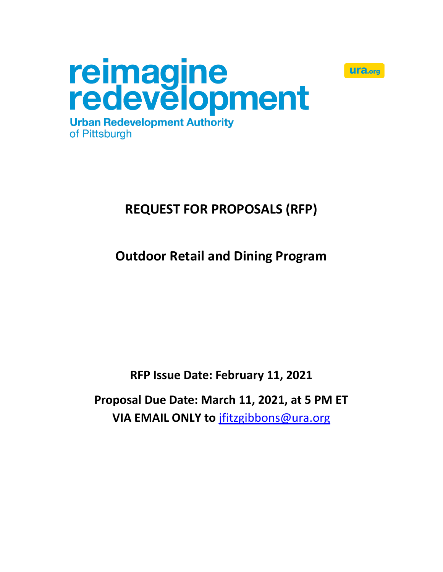



# **REQUEST FOR PROPOSALS (RFP)**

# **Outdoor Retail and Dining Program**

**RFP Issue Date: February 11, 2021**

**Proposal Due Date: March 11, 2021, at 5 PM ET VIA EMAIL ONLY to** [jfitzgibbons@ura.org](mailto:jfitzgibbons@ura.org)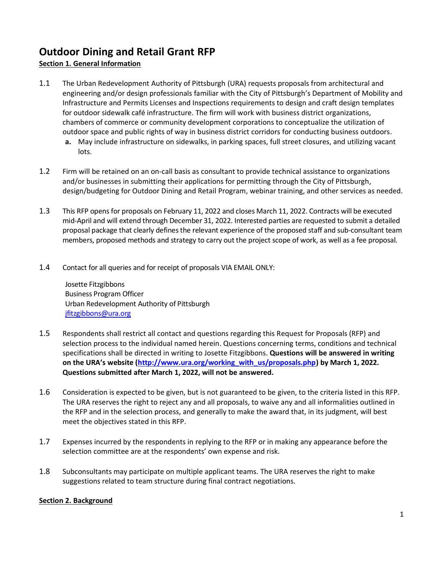# **Outdoor Dining and Retail Grant RFP**

# **Section 1. General Information**

- 1.1 The Urban Redevelopment Authority of Pittsburgh (URA) requests proposals from architectural and engineering and/or design professionals familiar with the City of Pittsburgh's Department of Mobility and Infrastructure and Permits Licenses and Inspections requirements to design and craft design templates for outdoor sidewalk café infrastructure. The firm will work with business district organizations, chambers of commerce or community development corporations to conceptualize the utilization of outdoor space and public rights of way in business district corridors for conducting business outdoors.
	- **a.** May include infrastructure on sidewalks, in parking spaces, full street closures, and utilizing vacant lots.
- 1.2 Firm will be retained on an on-call basis as consultant to provide technical assistance to organizations and/or businesses in submitting their applications for permitting through the City of Pittsburgh, design/budgeting for Outdoor Dining and Retail Program, webinar training, and other services as needed.
- 1.3 This RFP opens for proposals on February 11, 2022 and closes March 11, 2022. Contracts will be executed mid-April and will extend through December 31, 2022. Interested parties are requested to submit a detailed proposal package that clearly defines the relevant experience of the proposed staff and sub-consultant team members, proposed methods and strategy to carry out the project scope of work, as well as a fee proposal.
- 1.4 Contact for all queries and for receipt of proposals VIA EMAIL ONLY:

Josette Fitzgibbons Business Program Officer Urban Redevelopment Authority of Pittsburgh [jfitzgibbons@ura.org](mailto:jfitzgibbons@ura.org)

- 1.5 Respondents shall restrict all contact and questions regarding this Request for Proposals (RFP) and selection process to the individual named herein. Questions concerning terms, conditions and technical specifications shall be directed in writing to Josette Fitzgibbons. **Questions will be answered in writing on the URA's website [\(http://www.ura.org/working\\_with\\_us/proposals.php\)](http://www.ura.org/working_with_us/proposals.php) by March 1, 2022. Questions submitted after March 1, 2022, will not be answered.**
- 1.6 Consideration is expected to be given, but is not guaranteed to be given, to the criteria listed in this RFP. The URA reserves the right to reject any and all proposals, to waive any and all informalities outlined in the RFP and in the selection process, and generally to make the award that, in its judgment, will best meet the objectives stated in this RFP.
- 1.7 Expenses incurred by the respondents in replying to the RFP or in making any appearance before the selection committee are at the respondents' own expense and risk.
- 1.8 Subconsultants may participate on multiple applicant teams. The URA reserves the right to make suggestions related to team structure during final contract negotiations.

# **Section 2. Background**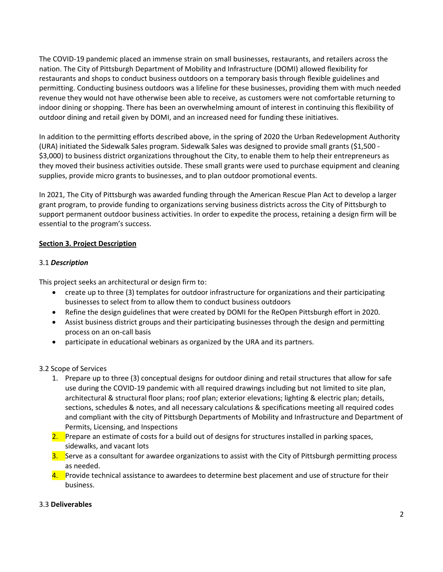The COVID-19 pandemic placed an immense strain on small businesses, restaurants, and retailers across the nation. The City of Pittsburgh Department of Mobility and Infrastructure (DOMI) allowed flexibility for restaurants and shops to conduct business outdoors on a temporary basis through flexible guidelines and permitting. Conducting business outdoors was a lifeline for these businesses, providing them with much needed revenue they would not have otherwise been able to receive, as customers were not comfortable returning to indoor dining or shopping. There has been an overwhelming amount of interest in continuing this flexibility of outdoor dining and retail given by DOMI, and an increased need for funding these initiatives.

In addition to the permitting efforts described above, in the spring of 2020 the Urban Redevelopment Authority (URA) initiated the Sidewalk Sales program. Sidewalk Sales was designed to provide small grants (\$1,500 - \$3,000) to business district organizations throughout the City, to enable them to help their entrepreneurs as they moved their business activities outside. These small grants were used to purchase equipment and cleaning supplies, provide micro grants to businesses, and to plan outdoor promotional events.

In 2021, The City of Pittsburgh was awarded funding through the American Rescue Plan Act to develop a larger grant program, to provide funding to organizations serving business districts across the City of Pittsburgh to support permanent outdoor business activities. In order to expedite the process, retaining a design firm will be essential to the program's success.

### **Section 3. Project Description**

#### 3.1 *Description*

This project seeks an architectural or design firm to:

- create up to three (3) templates for outdoor infrastructure for organizations and their participating businesses to select from to allow them to conduct business outdoors
- Refine the design guidelines that were created by DOMI for the ReOpen Pittsburgh effort in 2020.
- Assist business district groups and their participating businesses through the design and permitting process on an on-call basis
- participate in educational webinars as organized by the URA and its partners.

#### 3.2 Scope of Services

- 1. Prepare up to three (3) conceptual designs for outdoor dining and retail structures that allow for safe use during the COVID-19 pandemic with all required drawings including but not limited to site plan, architectural & structural floor plans; roof plan; exterior elevations; lighting & electric plan; details, sections, schedules & notes, and all necessary calculations & specifications meeting all required codes and compliant with the city of Pittsburgh Departments of Mobility and Infrastructure and Department of Permits, Licensing, and Inspections
- 2. Prepare an estimate of costs for a build out of designs for structures installed in parking spaces, sidewalks, and vacant lots
- 3. Serve as a consultant for awardee organizations to assist with the City of Pittsburgh permitting process as needed.
- 4. Provide technical assistance to awardees to determine best placement and use of structure for their business.

#### 3.3 **Deliverables**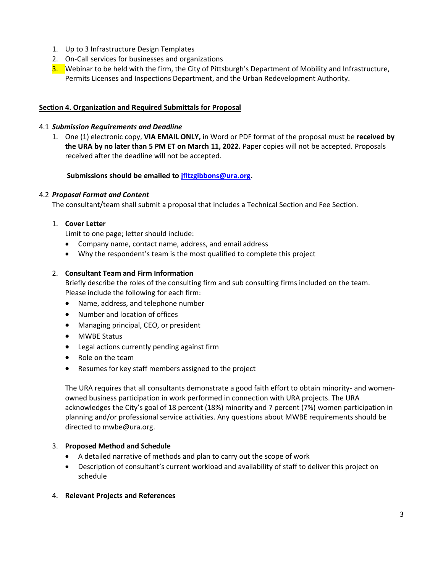- 1. Up to 3 Infrastructure Design Templates
- 2. On-Call services for businesses and organizations
- 3. Webinar to be held with the firm, the City of Pittsburgh's Department of Mobility and Infrastructure, Permits Licenses and Inspections Department, and the Urban Redevelopment Authority.

#### **Section 4. Organization and Required Submittals for Proposal**

#### 4.1 *Submission Requirements and Deadline*

1. One (1) electronic copy, **VIA EMAIL ONLY,** in Word or PDF format of the proposal must be **received by the URA by no later than 5 PM ET on March 11, 2022.** Paper copies will not be accepted. Proposals received after the deadline will not be accepted.

#### **Submissions should be emailed to [jfitzgibbons@ura.org.](mailto:jfitzgibbons@ura.org)**

#### 4.2 *Proposal Format and Content*

The consultant/team shall submit a proposal that includes a Technical Section and Fee Section.

#### 1. **Cover Letter**

Limit to one page; letter should include:

- Company name, contact name, address, and email address
- Why the respondent's team is the most qualified to complete this project

#### 2. **Consultant Team and Firm Information**

Briefly describe the roles of the consulting firm and sub consulting firms included on the team. Please include the following for each firm:

- Name, address, and telephone number
- Number and location of offices
- Managing principal, CEO, or president
- MWBE Status
- Legal actions currently pending against firm
- Role on the team
- Resumes for key staff members assigned to the project

The URA requires that all consultants demonstrate a good faith effort to obtain minority- and womenowned business participation in work performed in connection with URA projects. The URA acknowledges the City's goal of 18 percent (18%) minority and 7 percent (7%) women participation in planning and/or professional service activities. Any questions about MWBE requirements should be directed to mwbe@ura.org.

#### 3. **Proposed Method and Schedule**

- A detailed narrative of methods and plan to carry out the scope of work
- Description of consultant's current workload and availability of staff to deliver this project on schedule
- 4. **Relevant Projects and References**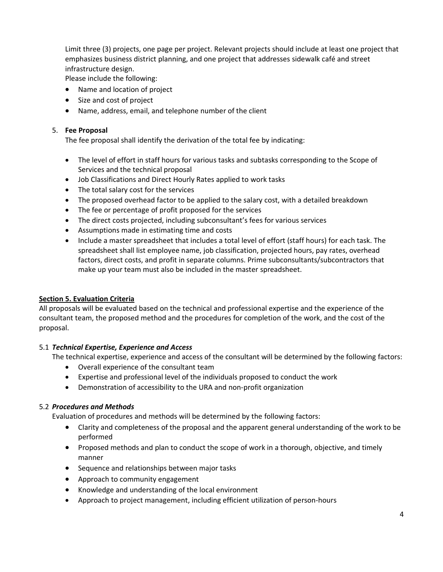Limit three (3) projects, one page per project. Relevant projects should include at least one project that emphasizes business district planning, and one project that addresses sidewalk café and street infrastructure design.

Please include the following:

- Name and location of project
- Size and cost of project
- Name, address, email, and telephone number of the client

#### 5. **Fee Proposal**

The fee proposal shall identify the derivation of the total fee by indicating:

- The level of effort in staff hours for various tasks and subtasks corresponding to the Scope of Services and the technical proposal
- Job Classifications and Direct Hourly Rates applied to work tasks
- The total salary cost for the services
- The proposed overhead factor to be applied to the salary cost, with a detailed breakdown
- The fee or percentage of profit proposed for the services
- The direct costs projected, including subconsultant's fees for various services
- Assumptions made in estimating time and costs
- Include a master spreadsheet that includes a total level of effort (staff hours) for each task. The spreadsheet shall list employee name, job classification, projected hours, pay rates, overhead factors, direct costs, and profit in separate columns. Prime subconsultants/subcontractors that make up your team must also be included in the master spreadsheet.

#### **Section 5. Evaluation Criteria**

All proposals will be evaluated based on the technical and professional expertise and the experience of the consultant team, the proposed method and the procedures for completion of the work, and the cost of the proposal.

#### 5.1 *Technical Expertise, Experience and Access*

The technical expertise, experience and access of the consultant will be determined by the following factors:

- Overall experience of the consultant team
- Expertise and professional level of the individuals proposed to conduct the work
- Demonstration of accessibility to the URA and non-profit organization

#### 5.2 *Procedures and Methods*

Evaluation of procedures and methods will be determined by the following factors:

- Clarity and completeness of the proposal and the apparent general understanding of the work to be performed
- Proposed methods and plan to conduct the scope of work in a thorough, objective, and timely manner
- Sequence and relationships between major tasks
- Approach to community engagement
- Knowledge and understanding of the local environment
- Approach to project management, including efficient utilization of person-hours